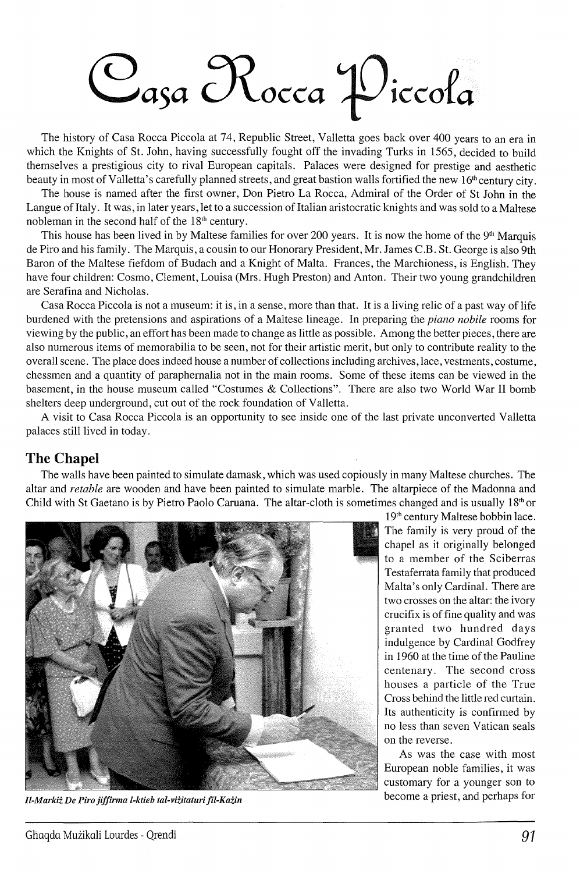## Oasa Rocca Piccola

The history of Casa Rocca Piccola at 74, Republic Street, Valletta goes back over 400 years to an era in which the Knights of St. John, having successfully fought off the invading Turks in 1565, decided to build themselves a prestigious city to rival European capitals. Palaces were designed for prestige and aesthetic beauty in most of Valletta's carefully planned streets, and great bastion walls fortified the new 16th century city.

The house is named after the first owner, Don Pietro La Rocca, Admiral of the Order of St John in the Langue of Italy. It was, in later years, let to a succession of Italian aristocratic knights and was sold to a Maltese nobleman in the second half of the  $18<sup>th</sup>$  century.

This house has been lived in by Maltese families for over 200 years. It is now the home of the 9<sup>th</sup> Marquis de Piro and his family. The Marquis, a cousin to our Honorary President, Mr. James C.B. St. George is also 9th Baron of the Maltese fiefdom of Budach and a Knight of Malta. Frances, the Marchioness, is English. They have four children: Cosmo, Clement, Louisa (Mrs. Hugh Preston) and Anton. Their two young grandchildren are Serafina and Nicholas.

Casa Rocca Piccola is not a museum: it is, in a sense, more than that. It is a living relic of a past way of life burdened with the pretensions and aspirations of a Maltese lineage. In preparing the *piano nobile* rooms for viewing by the public, an effort has been made to change as little as possible. Among the better pieces, there are also numerous items of memorabilia to be seen, not for their artistic merit, but only to contribute reality to the overall scene. The place does indeed house a number of collections including archives, lace, vestments, costume, chessmen and a quantity of paraphernalia not in the main rooms. Some of these items can be viewed in the basement, in the house museum called "Costumes & Collections". There are also two World War II bomb shelters deep underground, cut out of the rock foundation of Valletta.

A visit to Casa Rocca Piccola is an opportunity to see inside one of the last private unconverted Valletta palaces still lived in today.

## **The Chapel**

The walls have been painted to simulate damask, which was used copiously in many Maltese churches. The altar and *retable* are wooden and have been painted to simulate marble. The altarpiece of the Madonna and Child with St Gaetano is by Pietro Paolo Caruana. The altar-cloth is sometimes changed and is usually  $18<sup>th</sup>$  or



*Il-Markiz De Piro jiffirma l-ktieb tal-viiitaturifil-Kazin* 

19th century Maltese bobbin lace. The family is very proud of the chapel as it originally belonged to a member of the Sciberras Testaferrata family that produced Malta's only Cardinal. There are two crosses on the altar: the ivory crucifix is of fine quality and was granted two hundred days indulgence by Cardinal Godfrey in 1960 at the time of the Pauline centenary. The second cross houses a particle of the True Cross behind the little red curtain. Its authenticity is confirmed by no less than seven Vatican seals on the reverse.

As was the case with most European noble families, it was customary for a younger son to become a priest, and perhaps for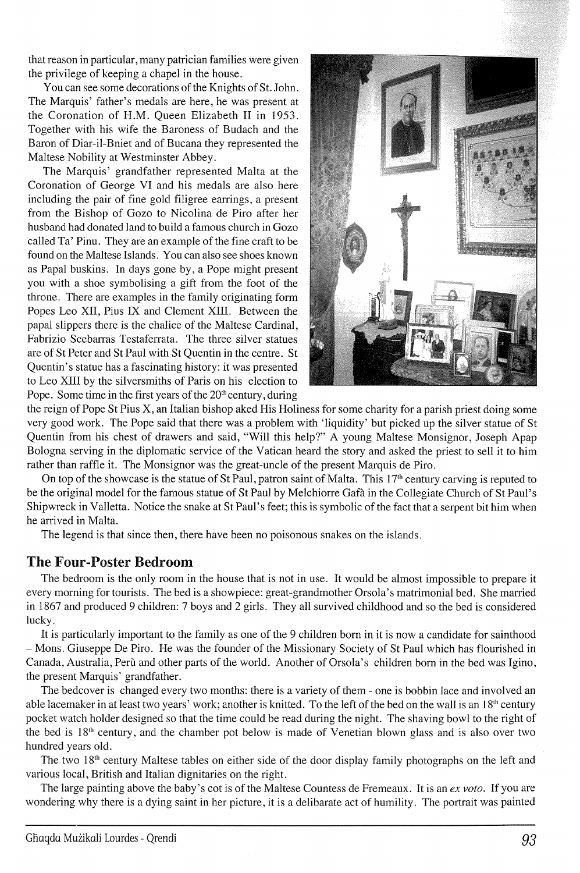that reason in particular, many patrician families were given the privilege of keeping a chapel in the house.

You can see some decorations of the Knights of St. John. The Marquis' father's medals are here, he was present at the Coronation of H.M. Queen Elizabeth II in 1953. Together with his wife the Baroness of Budach and the Baron of Diar-il-Bniet and of Bucana they represented the Maltese Nobility at Westminster Abbey.

The Marquis' grandfather represented Malta at the Coronation of George VI and his medals are also here including the pair of fine gold filigree earrings, a present from the Bishop of Gozo to Nicolina de Piro after her husband had donated land to build a famous church in Gozo called Ta' Pinu. They are an example of the fine craft to be found on the Maltese Islands. You can also see shoes known as Papal buskins. In days gone by, a Pope might present you with a shoe symbolising a gift from the foot of the throne. There are examples in the family originating form Popes Leo XII, Pius IX and Clement XIII. Between the papal slippers there is the chalice of the Maltese Cardinal, Fabrizio Scebarras Testaferrata. The three silver statues are of St Peter and St Paul with St Quentin in the centre. St Quentin's statue has a fascinating history: it was presented to Leo XIII by the silversmiths of Paris on his election to Pope. Some time in the first years of the  $20<sup>th</sup>$  century, during



the reign of Pope St Pius X, an Italian bishop aked His Holiness for some charity for a parish priest doing some very good work. The Pope said that there was a problem with 'liquidity' but picked up the silver statue of St Quentin from his chest of drawers and said, "Will this help?" A young Maltese Monsignor, Joseph Apap Bologna serving in the diplomatic service of the Vatican heard the story and asked the priest to sell it to him rather than raffle it. The Monsignor was the great-uncle of the present Marquis de Piro.

On top of the showcase is the statue of St Paul, patron saint of Malta. This  $17<sup>th</sup>$  century carving is reputed to be the original model for the famous statue of St Paul by Melchiorre Gafa in the Collegiate Church of St Paul's Shipwreck in Valletta. Notice the snake at St Paul's feet; this is symbolic of the fact that a serpent bit him when he arrived in Malta.

The legend is that since then, there have been no poisonous snakes on the islands.

## **The Four-Poster Bedroom**

The bedroom is the only room in the house that is not in use. It would be almost impossible to prepare it every morning for tourists. The bed is a showpiece: great-grandmother Orsola's matrimonial bed. She married in 1867 and produced 9 children: 7 boys and 2 girls. They all survived childhood and so the bed is considered lucky.

It is particularly important to the family as one of the 9 children born in it is now a candidate for sainthood - Mons. Giuseppe De Piro. He was the founder of the Missionary Society of St Paul which has flourished in Canada, Australia, Peru and other parts of the world. Another of Orsola's children born in the bed was Igino, the present Marquis' grandfather.

The bedcover is changed every two months: there is a variety of them - one is bobbin lace and involved an able lacemaker in at least two years' work; another is knitted. To the left of the bed on the wall is an 18<sup>th</sup> century pocket watch holder designed so that the time could be read during the night. The shaving bowl to the right of the bed is 18<sup>th</sup> century, and the chamber pot below is made of Venetian blown glass and is also over two hundred years old.

The two 18<sup>th</sup> century Maltese tables on either side of the door display family photographs on the left and various local, British and Italian dignitaries on the right.

The large painting above the baby's cot is of the Maltese Countess de Premeaux. It is an *ex voto.* If you are wondering why there is a dying saint in her picture, it is a delibarate act of humility. The portrait was painted